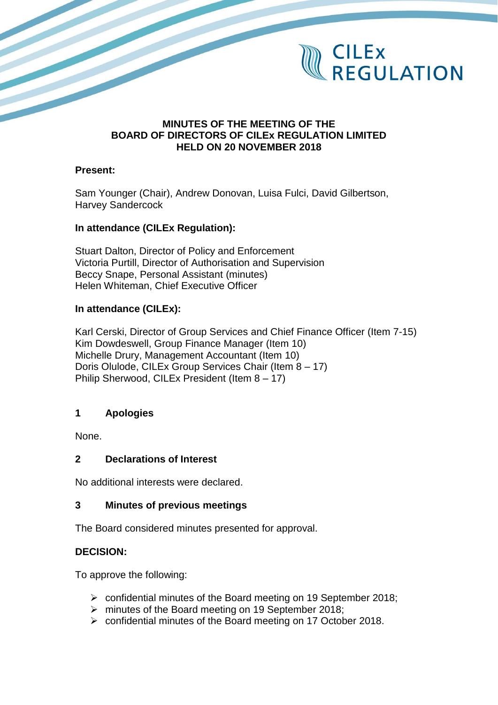

#### **MINUTES OF THE MEETING OF THE BOARD OF DIRECTORS OF CILEx REGULATION LIMITED HELD ON 20 NOVEMBER 2018**

#### **Present:**

Sam Younger (Chair), Andrew Donovan, Luisa Fulci, David Gilbertson, Harvey Sandercock

#### **In attendance (CILEx Regulation):**

Stuart Dalton, Director of Policy and Enforcement Victoria Purtill, Director of Authorisation and Supervision Beccy Snape, Personal Assistant (minutes) Helen Whiteman, Chief Executive Officer

## **In attendance (CILEx):**

Karl Cerski, Director of Group Services and Chief Finance Officer (Item 7-15) Kim Dowdeswell, Group Finance Manager (Item 10) Michelle Drury, Management Accountant (Item 10) Doris Olulode, CILEx Group Services Chair (Item 8 – 17) Philip Sherwood, CILEx President (Item 8 – 17)

## **1 Apologies**

None.

## **2 Declarations of Interest**

No additional interests were declared.

#### **3 Minutes of previous meetings**

The Board considered minutes presented for approval.

## **DECISION:**

To approve the following:

- ➢ confidential minutes of the Board meeting on 19 September 2018;
- ➢ minutes of the Board meeting on 19 September 2018;
- ➢ confidential minutes of the Board meeting on 17 October 2018.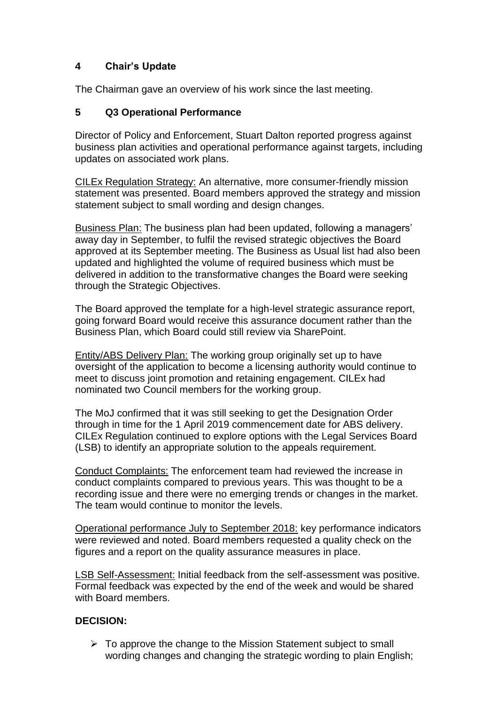## **4 Chair's Update**

The Chairman gave an overview of his work since the last meeting.

## **5 Q3 Operational Performance**

Director of Policy and Enforcement, Stuart Dalton reported progress against business plan activities and operational performance against targets, including updates on associated work plans.

CILEx Regulation Strategy: An alternative, more consumer-friendly mission statement was presented. Board members approved the strategy and mission statement subject to small wording and design changes.

Business Plan: The business plan had been updated, following a managers' away day in September, to fulfil the revised strategic objectives the Board approved at its September meeting. The Business as Usual list had also been updated and highlighted the volume of required business which must be delivered in addition to the transformative changes the Board were seeking through the Strategic Objectives.

The Board approved the template for a high-level strategic assurance report, going forward Board would receive this assurance document rather than the Business Plan, which Board could still review via SharePoint.

Entity/ABS Delivery Plan: The working group originally set up to have oversight of the application to become a licensing authority would continue to meet to discuss joint promotion and retaining engagement. CILEx had nominated two Council members for the working group.

The MoJ confirmed that it was still seeking to get the Designation Order through in time for the 1 April 2019 commencement date for ABS delivery. CILEx Regulation continued to explore options with the Legal Services Board (LSB) to identify an appropriate solution to the appeals requirement.

Conduct Complaints: The enforcement team had reviewed the increase in conduct complaints compared to previous years. This was thought to be a recording issue and there were no emerging trends or changes in the market. The team would continue to monitor the levels.

Operational performance July to September 2018: key performance indicators were reviewed and noted. Board members requested a quality check on the figures and a report on the quality assurance measures in place.

LSB Self-Assessment: Initial feedback from the self-assessment was positive. Formal feedback was expected by the end of the week and would be shared with Board members.

## **DECISION:**

 $\triangleright$  To approve the change to the Mission Statement subject to small wording changes and changing the strategic wording to plain English;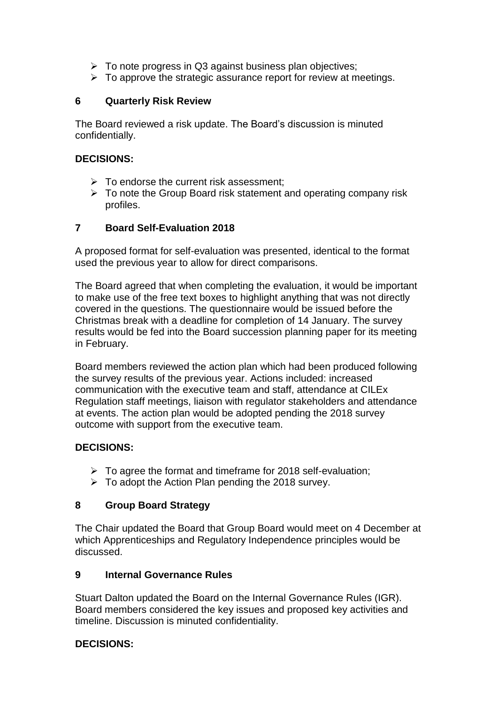- $\triangleright$  To note progress in Q3 against business plan objectives;
- $\triangleright$  To approve the strategic assurance report for review at meetings.

#### **6 Quarterly Risk Review**

The Board reviewed a risk update. The Board's discussion is minuted confidentially.

#### **DECISIONS:**

- $\triangleright$  To endorse the current risk assessment:
- $\triangleright$  To note the Group Board risk statement and operating company risk profiles.

#### **7 Board Self-Evaluation 2018**

A proposed format for self-evaluation was presented, identical to the format used the previous year to allow for direct comparisons.

The Board agreed that when completing the evaluation, it would be important to make use of the free text boxes to highlight anything that was not directly covered in the questions. The questionnaire would be issued before the Christmas break with a deadline for completion of 14 January. The survey results would be fed into the Board succession planning paper for its meeting in February.

Board members reviewed the action plan which had been produced following the survey results of the previous year. Actions included: increased communication with the executive team and staff, attendance at CILEx Regulation staff meetings, liaison with regulator stakeholders and attendance at events. The action plan would be adopted pending the 2018 survey outcome with support from the executive team.

## **DECISIONS:**

- $\triangleright$  To agree the format and timeframe for 2018 self-evaluation;
- $\triangleright$  To adopt the Action Plan pending the 2018 survey.

## **8 Group Board Strategy**

The Chair updated the Board that Group Board would meet on 4 December at which Apprenticeships and Regulatory Independence principles would be discussed.

## **9 Internal Governance Rules**

Stuart Dalton updated the Board on the Internal Governance Rules (IGR). Board members considered the key issues and proposed key activities and timeline. Discussion is minuted confidentiality.

## **DECISIONS:**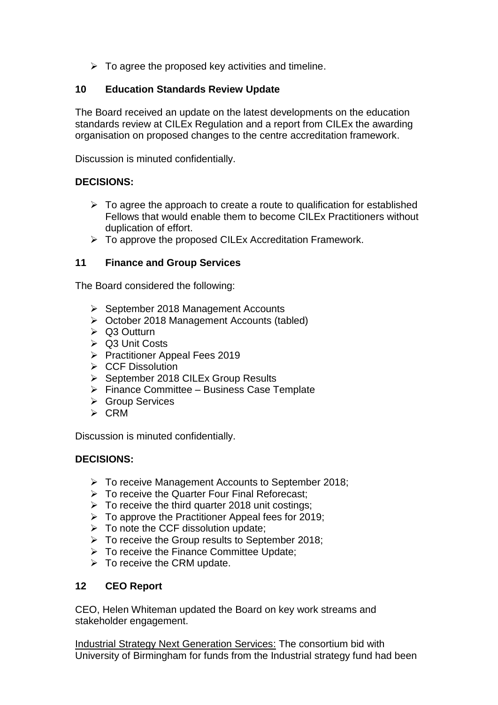$\triangleright$  To agree the proposed key activities and timeline.

#### **10 Education Standards Review Update**

The Board received an update on the latest developments on the education standards review at CILEx Regulation and a report from CILEx the awarding organisation on proposed changes to the centre accreditation framework.

Discussion is minuted confidentially.

## **DECISIONS:**

- $\triangleright$  To agree the approach to create a route to qualification for established Fellows that would enable them to become CILEx Practitioners without duplication of effort.
- ➢ To approve the proposed CILEx Accreditation Framework.

#### **11 Finance and Group Services**

The Board considered the following:

- ➢ September 2018 Management Accounts
- ➢ October 2018 Management Accounts (tabled)
- ➢ Q3 Outturn
- ➢ Q3 Unit Costs
- ➢ Practitioner Appeal Fees 2019
- ➢ CCF Dissolution
- ➢ September 2018 CILEx Group Results
- ➢ Finance Committee Business Case Template
- ➢ Group Services
- ➢ CRM

Discussion is minuted confidentially.

#### **DECISIONS:**

- ➢ To receive Management Accounts to September 2018;
- ➢ To receive the Quarter Four Final Reforecast;
- $\triangleright$  To receive the third quarter 2018 unit costings;
- $\triangleright$  To approve the Practitioner Appeal fees for 2019;
- $\triangleright$  To note the CCF dissolution update;
- ➢ To receive the Group results to September 2018;
- ➢ To receive the Finance Committee Update;
- ➢ To receive the CRM update.

## **12 CEO Report**

CEO, Helen Whiteman updated the Board on key work streams and stakeholder engagement.

Industrial Strategy Next Generation Services: The consortium bid with University of Birmingham for funds from the Industrial strategy fund had been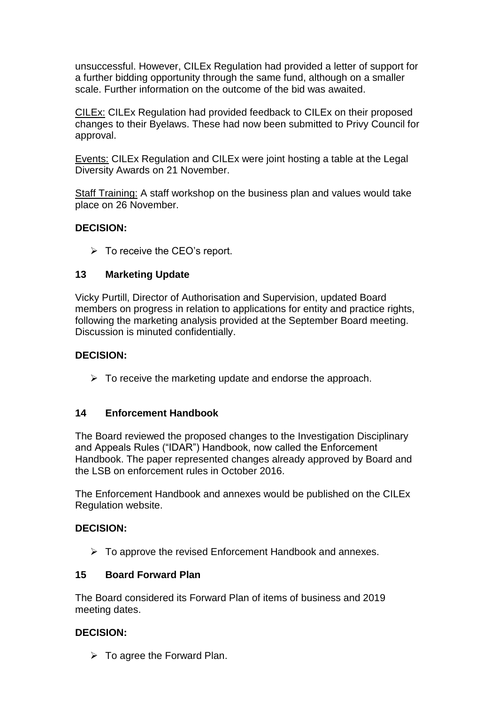unsuccessful. However, CILEx Regulation had provided a letter of support for a further bidding opportunity through the same fund, although on a smaller scale. Further information on the outcome of the bid was awaited.

CILEx: CILEx Regulation had provided feedback to CILEx on their proposed changes to their Byelaws. These had now been submitted to Privy Council for approval.

Events: CILEx Regulation and CILEx were joint hosting a table at the Legal Diversity Awards on 21 November.

Staff Training: A staff workshop on the business plan and values would take place on 26 November.

## **DECISION:**

 $\triangleright$  To receive the CEO's report.

#### **13 Marketing Update**

Vicky Purtill, Director of Authorisation and Supervision, updated Board members on progress in relation to applications for entity and practice rights, following the marketing analysis provided at the September Board meeting. Discussion is minuted confidentially.

#### **DECISION:**

 $\triangleright$  To receive the marketing update and endorse the approach.

#### **14 Enforcement Handbook**

The Board reviewed the proposed changes to the Investigation Disciplinary and Appeals Rules ("IDAR") Handbook, now called the Enforcement Handbook. The paper represented changes already approved by Board and the LSB on enforcement rules in October 2016.

The Enforcement Handbook and annexes would be published on the CILEx Regulation website.

#### **DECISION:**

 $\triangleright$  To approve the revised Enforcement Handbook and annexes.

## **15 Board Forward Plan**

The Board considered its Forward Plan of items of business and 2019 meeting dates.

#### **DECISION:**

 $\triangleright$  To agree the Forward Plan.